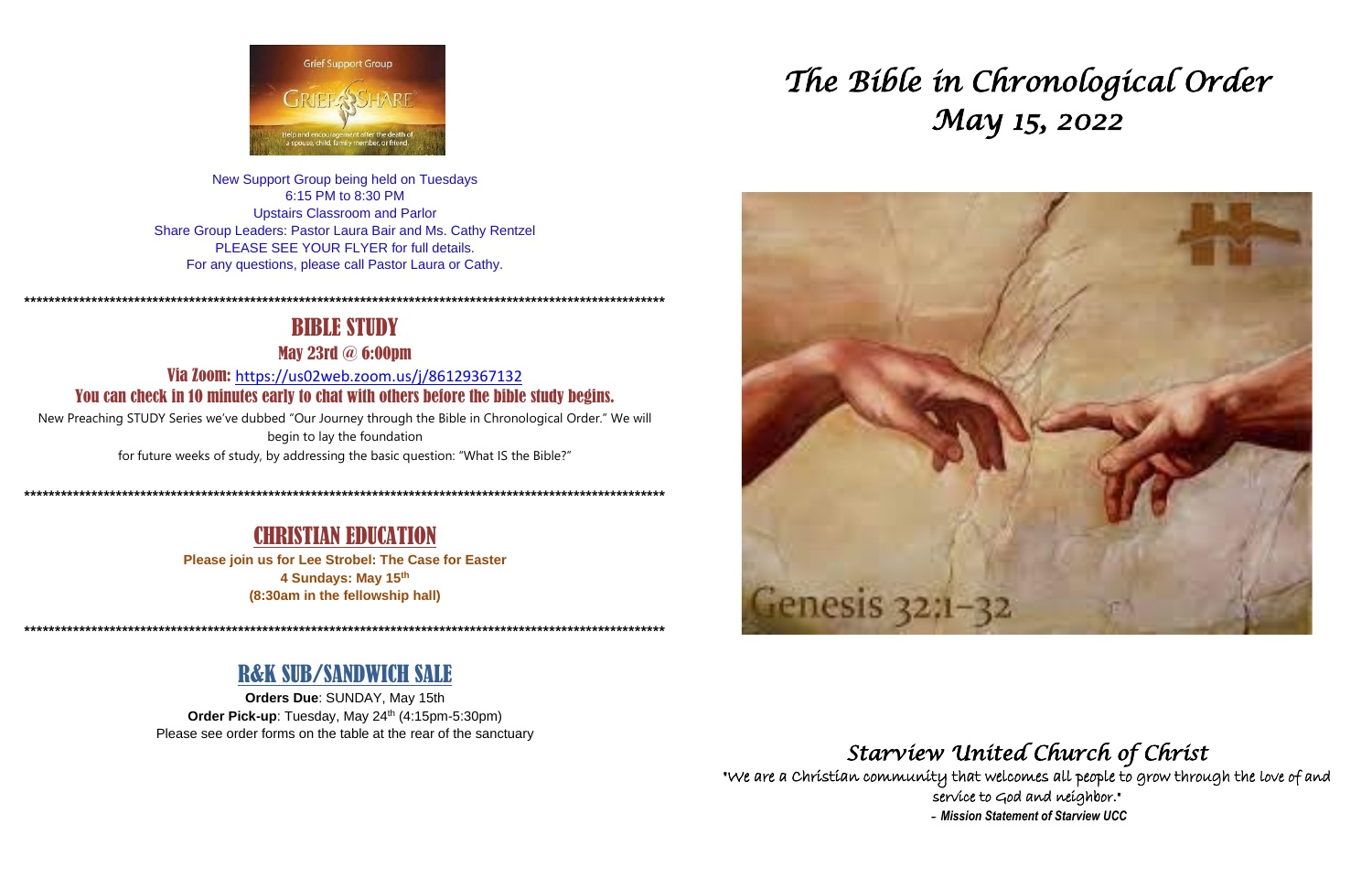

New Support Group being held on Tuesdays 6:15 PM to 8:30 PM **Upstairs Classroom and Parlor** Share Group Leaders: Pastor Laura Bair and Ms. Cathy Rentzel PLEASE SEE YOUR FLYER for full details. For any questions, please call Pastor Laura or Cathy.

## **BIBLE STUDY**

**May 23rd @ 6:00pm** 

Via Zoom: https://us02web.zoom.us/j/86129367132 You can check in 10 minutes early to chat with others before the bible study begins.

New Preaching STUDY Series we've dubbed "Our Journey through the Bible in Chronological Order." We will begin to lay the foundation for future weeks of study, by addressing the basic question: "What IS the Bible?"

### **CHRISTIAN EDUCATION**

Please join us for Lee Strobel: The Case for Easter 4 Sundays: May 15th (8:30am in the fellowship hall)

## **R&K SUB/SANDWICH SALE**

Orders Due: SUNDAY, May 15th Order Pick-up: Tuesday, May 24th (4:15pm-5:30pm) Please see order forms on the table at the rear of the sanctuary

# The Bible in Chronological Order May 15, 2022



## Starview United Church of Christ

"We are a Christian community that welcomes all people to grow through the love of and service to God and neighbor." - Mission Statement of Starview UCC